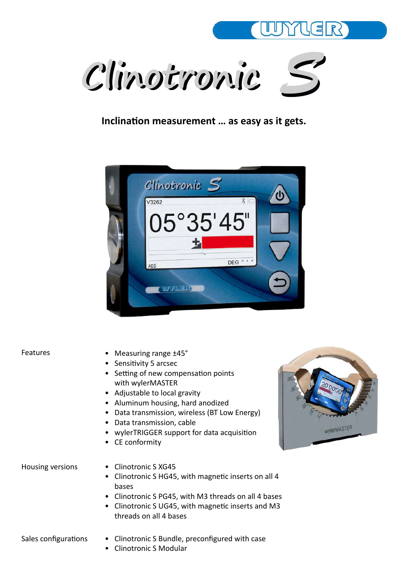



#### **Inclination measurement … as easy as it gets.**



#### Features

- Measuring range ±45°
- Sensitivity 5 arcsec
- Setting of new compensation points with wylerMASTER
- Adjustable to local gravity
- Aluminum housing, hard anodized
- Data transmission, wireless (BT Low Energy)
- Data transmission, cable
- wylerTRIGGER support for data acquisition
- CE conformity

- Housing versions Clinotronic SXG45
	- Clinotronic S HG45, with magnetic inserts on all 4 bases
	- Clinotronic S PG45, with M3 threads on all 4 bases
	- Clinotronic S UG45, with magnetic inserts and M3 threads on all 4 bases

- Sales configurations Clinotronic S Bundle, preconfigured with case
	- Clinotronic S Modular

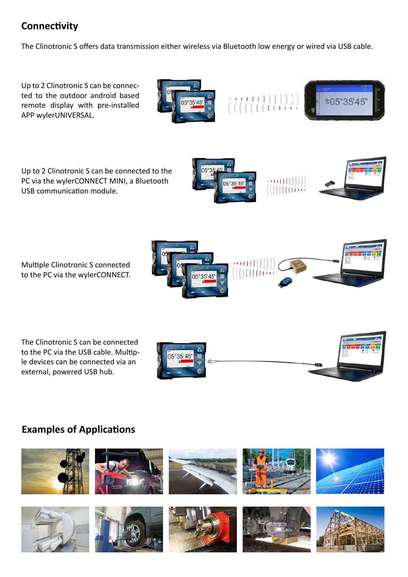# **Connectivity**

The Clinotronic S offers data transmission either wireless via Bluetooth low energy or wired via USB cable.

Up to 2 Clinotronic S can be connected to the outdoor android based remote display with pre-installed APP wylerUNIVERSAL.

Up to 2 Clinotronic S can be connected to the PC via the wylerCONNECT MINI, a Bluetooth USB communication module.





±05°35'45

Multiple Clinotronic S connected to the PC via the wylerCONNECT.

The Clinotronic S can be connected to the PC via the USB cable. Multiple devices can be connected via an external, powered USB hub.



 $\left( \begin{array}{c} \left( \begin{array}{c} 1 & 1 & 1 & 1 & 1 & 1 & 1 & 1 \\ 1 & 1 & 1 & 1 & 1 & 1 & 1 \\ 1 & 1 & 1 & 1 & 1 & 1 & 1 \\ 1 & 1 & 1 & 1 & 1 & 1 & 1 \\ 1 & 1 & 1 & 1 & 1 & 1 & 1 \\ 1 & 1 & 1 & 1 & 1 & 1 & 1 \\ 1 & 1 & 1 & 1 & 1 & 1 & 1 \\ 1 & 1 & 1 & 1 & 1 & 1 & 1 \\ 1 & 1 & 1 & 1 & 1 & 1 & 1 \\ 1 & 1 & 1$ 



### **Examples of Applications**

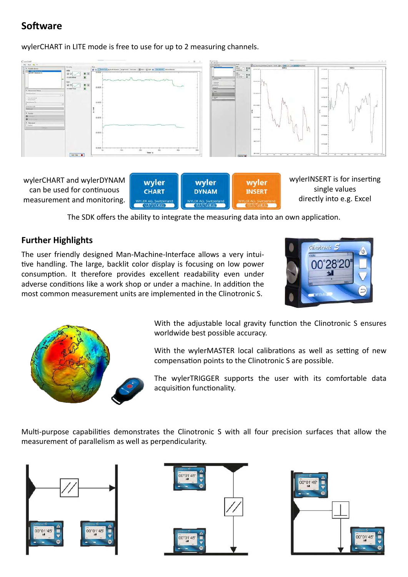### **Software**

wylerCHART in LITE mode is free to use for up to 2 measuring channels.



wylerCHART and wylerDYNAM can be used for continuous measurement and monitoring.

| wyler<br><b>CHART</b>        | wyler<br><b>DYNAM</b>        | <b>INSERT</b>                                     |
|------------------------------|------------------------------|---------------------------------------------------|
| <b>WYLER AG, Switzerland</b> | <b>WYLER AG, Switzerland</b> | <b>MYLER AG. Switzerland</b><br><b>ALLIMAVEIR</b> |

wylerINSERT is for inserting single values directly into e.g. Excel

The SDK offers the ability to integrate the measuring data into an own application.

#### **Further Highlights**

The user friendly designed Man-Machine-Interface allows a very intuitive handling. The large, backlit color display is focusing on low power consumption. It therefore provides excellent readability even under adverse conditions like a work shop or under a machine. In addition the most common measurement units are implemented in the Clinotronic S.





With the adjustable local gravity function the Clinotronic S ensures worldwide best possible accuracy.

With the wylerMASTER local calibrations as well as setting of new compensation points to the Clinotronic S are possible.

The wylerTRIGGER supports the user with its comfortable data acquisition functionality.

Multi-purpose capabilities demonstrates the Clinotronic S with all four precision surfaces that allow the measurement of parallelism as well as perpendicularity.